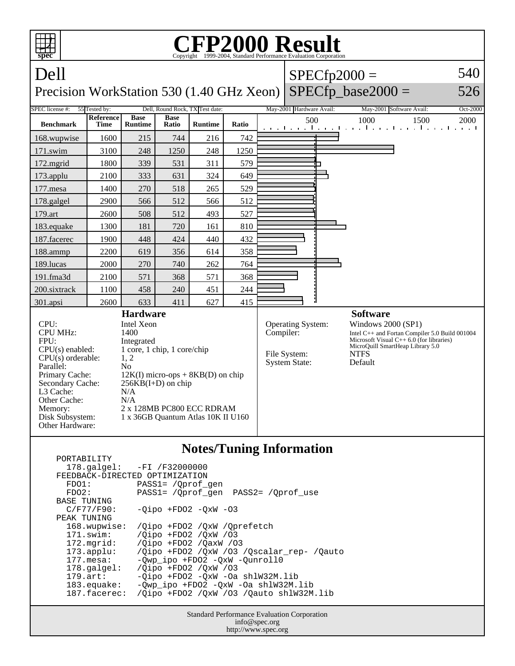

## **Notes/Tuning Information**

| $F \cup V \perp F \cup L \perp L \perp L$ |                                           |
|-------------------------------------------|-------------------------------------------|
| $178.\text{qalgel}$ :                     | -FI /F32000000                            |
| FEEDBACK-DIRECTED OPTIMIZATION            |                                           |
| FDO1:                                     | PASS1= /Oprof gen                         |
| FDO2:                                     | PASS1= / Oprof gen PASS2= / Oprof use     |
| <b>BASE TUNING</b>                        |                                           |
| C/F77/F90:                                | $-Oipo$ +FDO2 $-OxW$ -O3                  |
| PEAK TUNING                               |                                           |
| 168.wupwise:                              | /Oipo +FDO2 /OxW /Oprefetch               |
| $171$ .swim:                              | /Oipo +FDO2 /OxW /03                      |
| 172.mgrid:                                | /Oipo +FD02 /OaxW /03                     |
| $173.appendu$ :                           | /Qipo +FD02 /QxW /03 /Qscalar_rep- /Qauto |
| $177.\text{mesa}$ :                       | -Owp ipo +FDO2 -OxW -Ounroll0             |
| $178.\text{qalgel}$ :                     | /Oipo +FD02 /OxW /03                      |
| $179.\arct:$                              | -Qipo +FDO2 -QxW -Oa shlW32M.lib          |
| $183$ .equake:                            | $-Qwp\_ipo$ +FDO2 -QxW -Oa shlW32M.lib    |
| 187.facerec:                              | /Oipo +FDO2 /OxW /O3 /Oauto shlW32M.lib   |
|                                           |                                           |

PORTABILITY

Standard Performance Evaluation Corporation info@spec.org http://www.spec.org